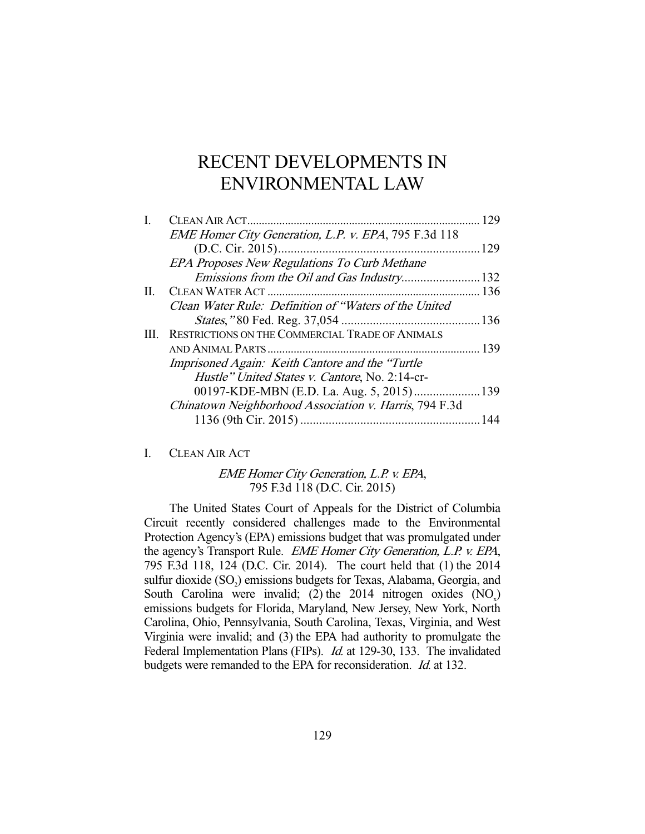# RECENT DEVELOPMENTS IN ENVIRONMENTAL LAW

|         | CLEAN AIR ACT                                          | 129 |
|---------|--------------------------------------------------------|-----|
|         | EME Homer City Generation, L.P. v. EPA, 795 F.3d 118   |     |
|         |                                                        | 129 |
|         | <b>EPA Proposes New Regulations To Curb Methane</b>    |     |
|         |                                                        |     |
| $\Pi$ . |                                                        |     |
|         | Clean Water Rule: Definition of "Waters of the United  |     |
|         |                                                        |     |
| III.    | RESTRICTIONS ON THE COMMERCIAL TRADE OF ANIMALS        |     |
|         |                                                        |     |
|         | Imprisoned Again: Keith Cantore and the "Turtle"       |     |
|         | Hustle" United States v. Cantore, No. 2:14-cr-         |     |
|         |                                                        |     |
|         | Chinatown Neighborhood Association v. Harris, 794 F.3d |     |
|         |                                                        |     |
|         |                                                        |     |

# I. CLEAN AIR ACT

# EME Homer City Generation, L.P. v. EPA, 795 F.3d 118 (D.C. Cir. 2015)

 The United States Court of Appeals for the District of Columbia Circuit recently considered challenges made to the Environmental Protection Agency's (EPA) emissions budget that was promulgated under the agency's Transport Rule. EME Homer City Generation, L.P. v. EPA, 795 F.3d 118, 124 (D.C. Cir. 2014). The court held that (1) the 2014 sulfur dioxide (SO<sub>2</sub>) emissions budgets for Texas, Alabama, Georgia, and South Carolina were invalid; (2) the 2014 nitrogen oxides  $(NO_x)$ emissions budgets for Florida, Maryland, New Jersey, New York, North Carolina, Ohio, Pennsylvania, South Carolina, Texas, Virginia, and West Virginia were invalid; and (3) the EPA had authority to promulgate the Federal Implementation Plans (FIPs). *Id.* at 129-30, 133. The invalidated budgets were remanded to the EPA for reconsideration. Id. at 132.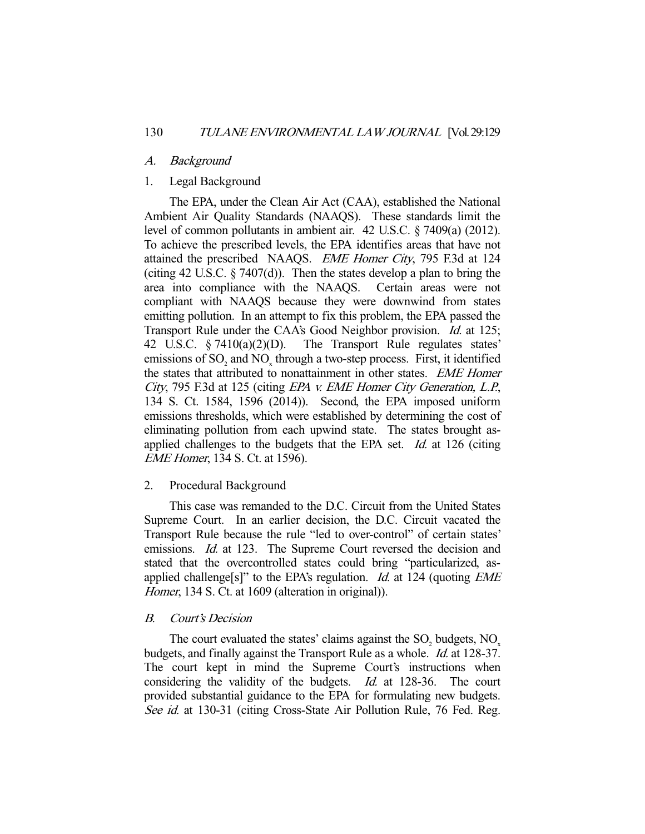### A. Background

### 1. Legal Background

 The EPA, under the Clean Air Act (CAA), established the National Ambient Air Quality Standards (NAAQS). These standards limit the level of common pollutants in ambient air. 42 U.S.C. § 7409(a) (2012). To achieve the prescribed levels, the EPA identifies areas that have not attained the prescribed NAAQS. EME Homer City, 795 F.3d at 124 (citing 42 U.S.C. § 7407(d)). Then the states develop a plan to bring the area into compliance with the NAAQS. Certain areas were not compliant with NAAQS because they were downwind from states emitting pollution. In an attempt to fix this problem, the EPA passed the Transport Rule under the CAA's Good Neighbor provision. *Id.* at 125; 42 U.S.C. § 7410(a)(2)(D). The Transport Rule regulates states' emissions of  $SO_2$  and  $NO_x$  through a two-step process. First, it identified the states that attributed to nonattainment in other states. EME Homer City, 795 F.3d at 125 (citing EPA v. EME Homer City Generation, L.P., 134 S. Ct. 1584, 1596 (2014)). Second, the EPA imposed uniform emissions thresholds, which were established by determining the cost of eliminating pollution from each upwind state. The states brought asapplied challenges to the budgets that the EPA set. *Id.* at 126 (citing EME Homer, 134 S. Ct. at 1596).

### 2. Procedural Background

 This case was remanded to the D.C. Circuit from the United States Supreme Court. In an earlier decision, the D.C. Circuit vacated the Transport Rule because the rule "led to over-control" of certain states' emissions. *Id.* at 123. The Supreme Court reversed the decision and stated that the overcontrolled states could bring "particularized, asapplied challenge[s]" to the EPA's regulation. *Id.* at 124 (quoting  $EME$ Homer, 134 S. Ct. at 1609 (alteration in original)).

### B. Court's Decision

The court evaluated the states' claims against the  $SO_2$  budgets,  $NO_x$ budgets, and finally against the Transport Rule as a whole. Id. at 128-37. The court kept in mind the Supreme Court's instructions when considering the validity of the budgets. Id. at 128-36. The court provided substantial guidance to the EPA for formulating new budgets. See id. at 130-31 (citing Cross-State Air Pollution Rule, 76 Fed. Reg.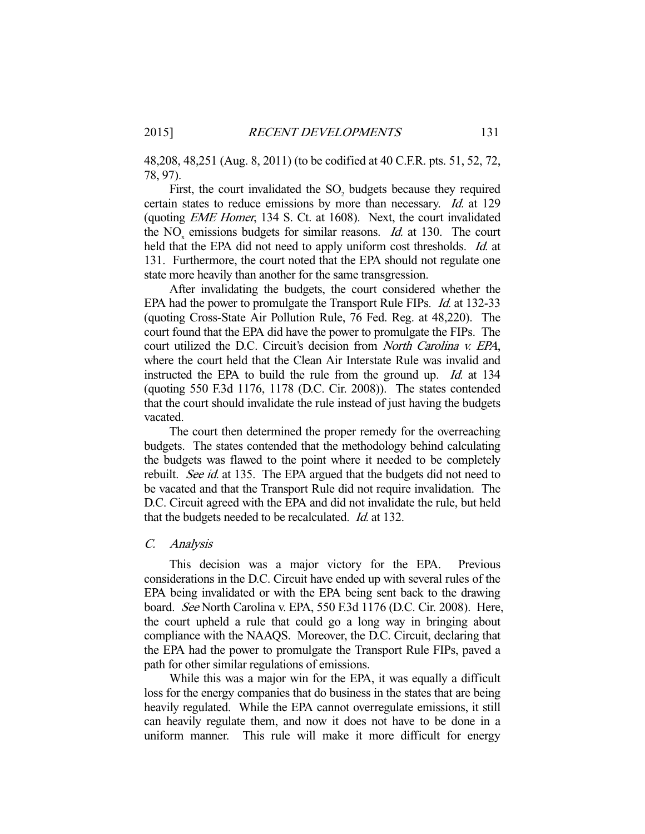48,208, 48,251 (Aug. 8, 2011) (to be codified at 40 C.F.R. pts. 51, 52, 72, 78, 97).

First, the court invalidated the  $SO_2$  budgets because they required certain states to reduce emissions by more than necessary. Id. at 129 (quoting EME Homer, 134 S. Ct. at 1608). Next, the court invalidated the  $NO<sub>x</sub>$  emissions budgets for similar reasons. *Id.* at 130. The court held that the EPA did not need to apply uniform cost thresholds. *Id.* at 131. Furthermore, the court noted that the EPA should not regulate one state more heavily than another for the same transgression.

 After invalidating the budgets, the court considered whether the EPA had the power to promulgate the Transport Rule FIPs. Id. at 132-33 (quoting Cross-State Air Pollution Rule, 76 Fed. Reg. at 48,220). The court found that the EPA did have the power to promulgate the FIPs. The court utilized the D.C. Circuit's decision from North Carolina v. EPA, where the court held that the Clean Air Interstate Rule was invalid and instructed the EPA to build the rule from the ground up. Id. at 134 (quoting 550 F.3d 1176, 1178 (D.C. Cir. 2008)). The states contended that the court should invalidate the rule instead of just having the budgets vacated.

 The court then determined the proper remedy for the overreaching budgets. The states contended that the methodology behind calculating the budgets was flawed to the point where it needed to be completely rebuilt. See id. at 135. The EPA argued that the budgets did not need to be vacated and that the Transport Rule did not require invalidation. The D.C. Circuit agreed with the EPA and did not invalidate the rule, but held that the budgets needed to be recalculated. *Id.* at 132.

# C. Analysis

 This decision was a major victory for the EPA. Previous considerations in the D.C. Circuit have ended up with several rules of the EPA being invalidated or with the EPA being sent back to the drawing board. See North Carolina v. EPA, 550 F.3d 1176 (D.C. Cir. 2008). Here, the court upheld a rule that could go a long way in bringing about compliance with the NAAQS. Moreover, the D.C. Circuit, declaring that the EPA had the power to promulgate the Transport Rule FIPs, paved a path for other similar regulations of emissions.

 While this was a major win for the EPA, it was equally a difficult loss for the energy companies that do business in the states that are being heavily regulated. While the EPA cannot overregulate emissions, it still can heavily regulate them, and now it does not have to be done in a uniform manner. This rule will make it more difficult for energy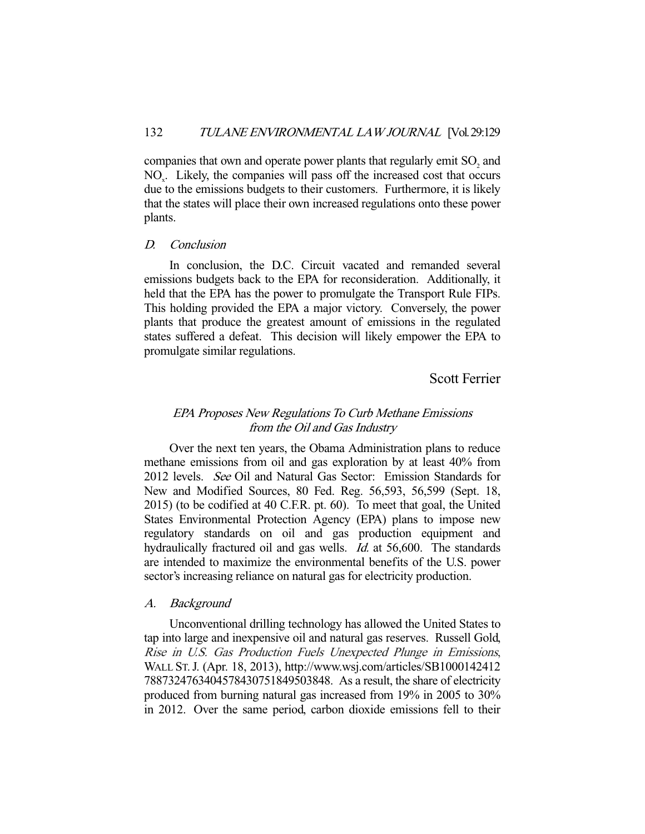companies that own and operate power plants that regularly emit  $SO_2$  and  $NO<sub>x</sub>$ . Likely, the companies will pass off the increased cost that occurs due to the emissions budgets to their customers. Furthermore, it is likely that the states will place their own increased regulations onto these power plants.

#### D. Conclusion

 In conclusion, the D.C. Circuit vacated and remanded several emissions budgets back to the EPA for reconsideration. Additionally, it held that the EPA has the power to promulgate the Transport Rule FIPs. This holding provided the EPA a major victory. Conversely, the power plants that produce the greatest amount of emissions in the regulated states suffered a defeat. This decision will likely empower the EPA to promulgate similar regulations.

Scott Ferrier

# EPA Proposes New Regulations To Curb Methane Emissions from the Oil and Gas Industry

 Over the next ten years, the Obama Administration plans to reduce methane emissions from oil and gas exploration by at least 40% from 2012 levels. See Oil and Natural Gas Sector: Emission Standards for New and Modified Sources, 80 Fed. Reg. 56,593, 56,599 (Sept. 18, 2015) (to be codified at 40 C.F.R. pt. 60). To meet that goal, the United States Environmental Protection Agency (EPA) plans to impose new regulatory standards on oil and gas production equipment and hydraulically fractured oil and gas wells. *Id.* at 56,600. The standards are intended to maximize the environmental benefits of the U.S. power sector's increasing reliance on natural gas for electricity production.

### A. Background

 Unconventional drilling technology has allowed the United States to tap into large and inexpensive oil and natural gas reserves. Russell Gold, Rise in U.S. Gas Production Fuels Unexpected Plunge in Emissions, WALL ST.J. (Apr. 18, 2013), http://www.wsj.com/articles/SB1000142412 7887324763404578430751849503848. As a result, the share of electricity produced from burning natural gas increased from 19% in 2005 to 30% in 2012. Over the same period, carbon dioxide emissions fell to their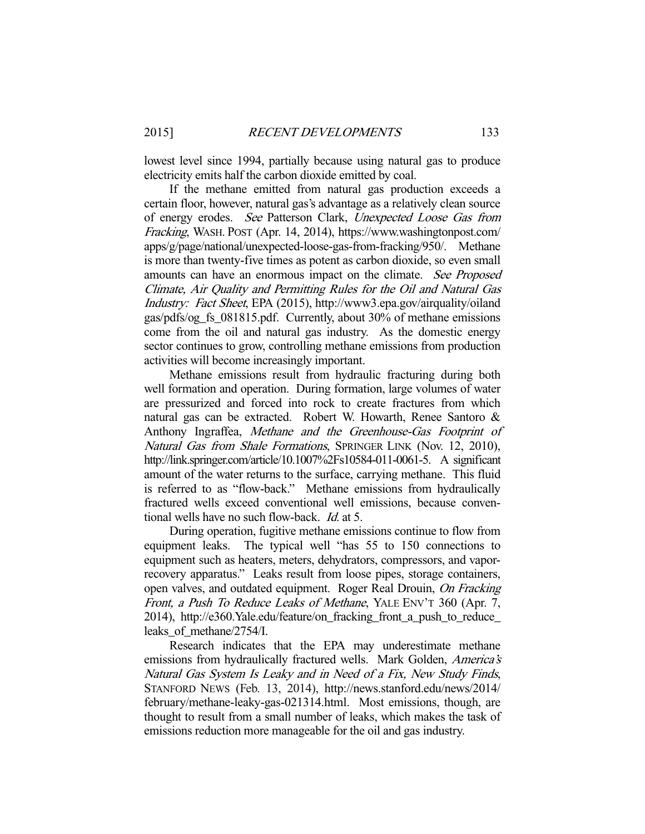lowest level since 1994, partially because using natural gas to produce electricity emits half the carbon dioxide emitted by coal.

 If the methane emitted from natural gas production exceeds a certain floor, however, natural gas's advantage as a relatively clean source of energy erodes. See Patterson Clark, Unexpected Loose Gas from Fracking, WASH. POST (Apr. 14, 2014), https://www.washingtonpost.com/ apps/g/page/national/unexpected-loose-gas-from-fracking/950/. Methane is more than twenty-five times as potent as carbon dioxide, so even small amounts can have an enormous impact on the climate. See Proposed Climate, Air Quality and Permitting Rules for the Oil and Natural Gas Industry: Fact Sheet, EPA (2015), http://www3.epa.gov/airquality/oiland gas/pdfs/og\_fs\_081815.pdf. Currently, about 30% of methane emissions come from the oil and natural gas industry. As the domestic energy sector continues to grow, controlling methane emissions from production activities will become increasingly important.

 Methane emissions result from hydraulic fracturing during both well formation and operation. During formation, large volumes of water are pressurized and forced into rock to create fractures from which natural gas can be extracted. Robert W. Howarth, Renee Santoro & Anthony Ingraffea, Methane and the Greenhouse-Gas Footprint of Natural Gas from Shale Formations, SPRINGER LINK (Nov. 12, 2010), http://link.springer.com/article/10.1007%2Fs10584-011-0061-5. A significant amount of the water returns to the surface, carrying methane. This fluid is referred to as "flow-back." Methane emissions from hydraulically fractured wells exceed conventional well emissions, because conventional wells have no such flow-back. Id. at 5.

 During operation, fugitive methane emissions continue to flow from equipment leaks. The typical well "has 55 to 150 connections to equipment such as heaters, meters, dehydrators, compressors, and vaporrecovery apparatus." Leaks result from loose pipes, storage containers, open valves, and outdated equipment. Roger Real Drouin, On Fracking Front, a Push To Reduce Leaks of Methane, YALE ENV'T 360 (Apr. 7, 2014), http://e360.Yale.edu/feature/on\_fracking\_front\_a\_push\_to\_reduce\_ leaks\_of\_methane/2754/I.

 Research indicates that the EPA may underestimate methane emissions from hydraulically fractured wells. Mark Golden, America's Natural Gas System Is Leaky and in Need of a Fix, New Study Finds, STANFORD NEWS (Feb. 13, 2014), http://news.stanford.edu/news/2014/ february/methane-leaky-gas-021314.html. Most emissions, though, are thought to result from a small number of leaks, which makes the task of emissions reduction more manageable for the oil and gas industry.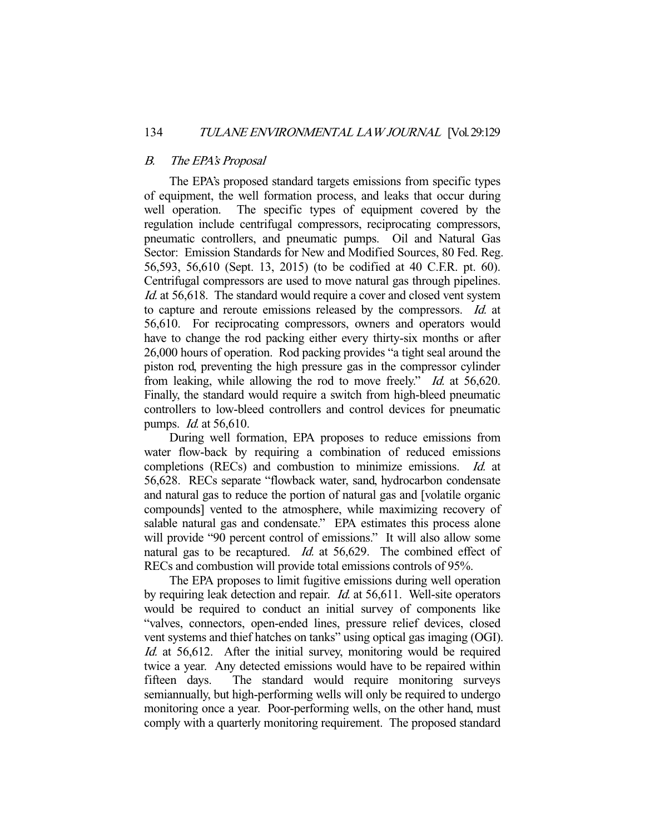### B. The EPA's Proposal

 The EPA's proposed standard targets emissions from specific types of equipment, the well formation process, and leaks that occur during well operation. The specific types of equipment covered by the regulation include centrifugal compressors, reciprocating compressors, pneumatic controllers, and pneumatic pumps. Oil and Natural Gas Sector: Emission Standards for New and Modified Sources, 80 Fed. Reg. 56,593, 56,610 (Sept. 13, 2015) (to be codified at 40 C.F.R. pt. 60). Centrifugal compressors are used to move natural gas through pipelines. Id. at 56,618. The standard would require a cover and closed vent system to capture and reroute emissions released by the compressors. Id. at 56,610. For reciprocating compressors, owners and operators would have to change the rod packing either every thirty-six months or after 26,000 hours of operation. Rod packing provides "a tight seal around the piston rod, preventing the high pressure gas in the compressor cylinder from leaking, while allowing the rod to move freely." *Id.* at 56,620. Finally, the standard would require a switch from high-bleed pneumatic controllers to low-bleed controllers and control devices for pneumatic pumps. Id. at 56,610.

 During well formation, EPA proposes to reduce emissions from water flow-back by requiring a combination of reduced emissions completions (RECs) and combustion to minimize emissions. Id. at 56,628. RECs separate "flowback water, sand, hydrocarbon condensate and natural gas to reduce the portion of natural gas and [volatile organic compounds] vented to the atmosphere, while maximizing recovery of salable natural gas and condensate." EPA estimates this process alone will provide "90 percent control of emissions." It will also allow some natural gas to be recaptured. *Id.* at 56,629. The combined effect of RECs and combustion will provide total emissions controls of 95%.

 The EPA proposes to limit fugitive emissions during well operation by requiring leak detection and repair. Id. at 56,611. Well-site operators would be required to conduct an initial survey of components like "valves, connectors, open-ended lines, pressure relief devices, closed vent systems and thief hatches on tanks" using optical gas imaging (OGI). Id. at 56,612. After the initial survey, monitoring would be required twice a year. Any detected emissions would have to be repaired within<br>fifteen days. The standard would require monitoring surveys The standard would require monitoring surveys semiannually, but high-performing wells will only be required to undergo monitoring once a year. Poor-performing wells, on the other hand, must comply with a quarterly monitoring requirement. The proposed standard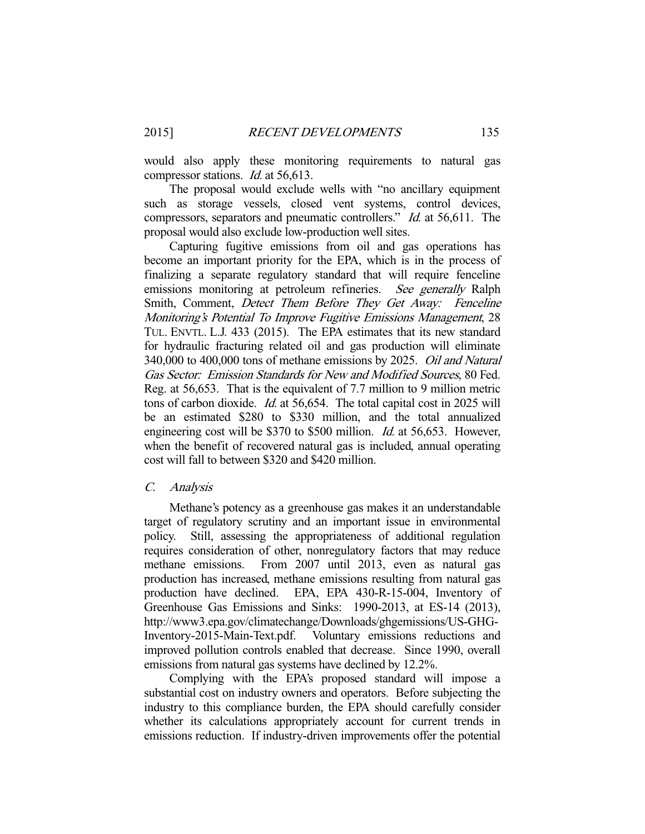would also apply these monitoring requirements to natural gas compressor stations. Id. at 56,613.

 The proposal would exclude wells with "no ancillary equipment such as storage vessels, closed vent systems, control devices, compressors, separators and pneumatic controllers." Id. at 56,611. The proposal would also exclude low-production well sites.

 Capturing fugitive emissions from oil and gas operations has become an important priority for the EPA, which is in the process of finalizing a separate regulatory standard that will require fenceline emissions monitoring at petroleum refineries. See generally Ralph Smith, Comment, Detect Them Before They Get Away: Fenceline Monitoring's Potential To Improve Fugitive Emissions Management, 28 TUL. ENVTL. L.J. 433 (2015). The EPA estimates that its new standard for hydraulic fracturing related oil and gas production will eliminate 340,000 to 400,000 tons of methane emissions by 2025. Oil and Natural Gas Sector: Emission Standards for New and Modified Sources, 80 Fed. Reg. at 56,653. That is the equivalent of 7.7 million to 9 million metric tons of carbon dioxide. Id. at 56,654. The total capital cost in 2025 will be an estimated \$280 to \$330 million, and the total annualized engineering cost will be \$370 to \$500 million. *Id.* at 56,653. However, when the benefit of recovered natural gas is included, annual operating cost will fall to between \$320 and \$420 million.

### C. Analysis

 Methane's potency as a greenhouse gas makes it an understandable target of regulatory scrutiny and an important issue in environmental policy. Still, assessing the appropriateness of additional regulation requires consideration of other, nonregulatory factors that may reduce methane emissions. From 2007 until 2013, even as natural gas production has increased, methane emissions resulting from natural gas production have declined. EPA, EPA 430-R-15-004, Inventory of Greenhouse Gas Emissions and Sinks: 1990-2013, at ES-14 (2013), http://www3.epa.gov/climatechange/Downloads/ghgemissions/US-GHG-Inventory-2015-Main-Text.pdf. Voluntary emissions reductions and improved pollution controls enabled that decrease. Since 1990, overall emissions from natural gas systems have declined by 12.2%.

 Complying with the EPA's proposed standard will impose a substantial cost on industry owners and operators. Before subjecting the industry to this compliance burden, the EPA should carefully consider whether its calculations appropriately account for current trends in emissions reduction. If industry-driven improvements offer the potential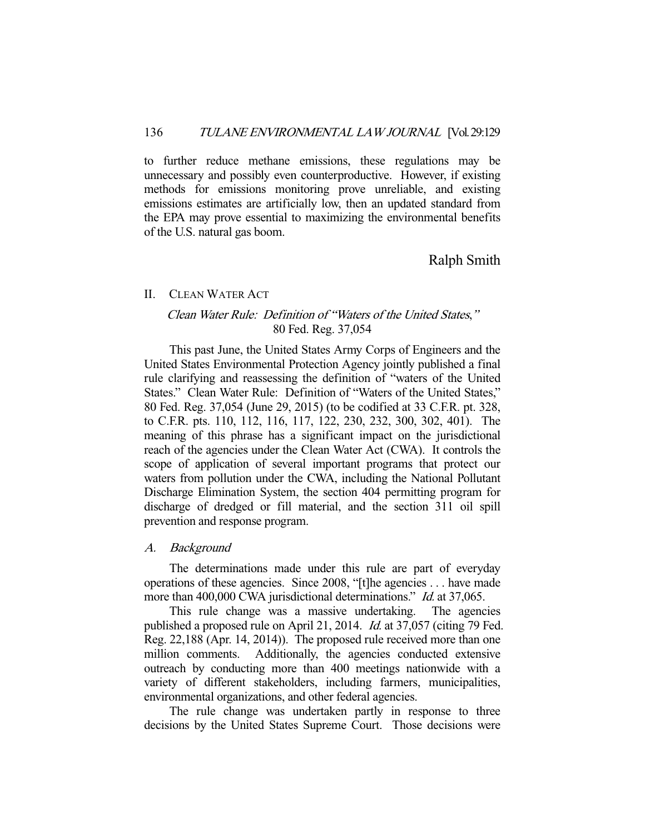to further reduce methane emissions, these regulations may be unnecessary and possibly even counterproductive. However, if existing methods for emissions monitoring prove unreliable, and existing emissions estimates are artificially low, then an updated standard from the EPA may prove essential to maximizing the environmental benefits of the U.S. natural gas boom.

Ralph Smith

### II. CLEAN WATER ACT

# Clean Water Rule: Definition of "Waters of the United States," 80 Fed. Reg. 37,054

 This past June, the United States Army Corps of Engineers and the United States Environmental Protection Agency jointly published a final rule clarifying and reassessing the definition of "waters of the United States." Clean Water Rule: Definition of "Waters of the United States," 80 Fed. Reg. 37,054 (June 29, 2015) (to be codified at 33 C.F.R. pt. 328, to C.F.R. pts. 110, 112, 116, 117, 122, 230, 232, 300, 302, 401). The meaning of this phrase has a significant impact on the jurisdictional reach of the agencies under the Clean Water Act (CWA). It controls the scope of application of several important programs that protect our waters from pollution under the CWA, including the National Pollutant Discharge Elimination System, the section 404 permitting program for discharge of dredged or fill material, and the section 311 oil spill prevention and response program.

### A. Background

 The determinations made under this rule are part of everyday operations of these agencies. Since 2008, "[t]he agencies . . . have made more than 400,000 CWA jurisdictional determinations." *Id.* at 37,065.

 This rule change was a massive undertaking. The agencies published a proposed rule on April 21, 2014. Id. at 37,057 (citing 79 Fed. Reg. 22,188 (Apr. 14, 2014)). The proposed rule received more than one million comments. Additionally, the agencies conducted extensive outreach by conducting more than 400 meetings nationwide with a variety of different stakeholders, including farmers, municipalities, environmental organizations, and other federal agencies.

 The rule change was undertaken partly in response to three decisions by the United States Supreme Court. Those decisions were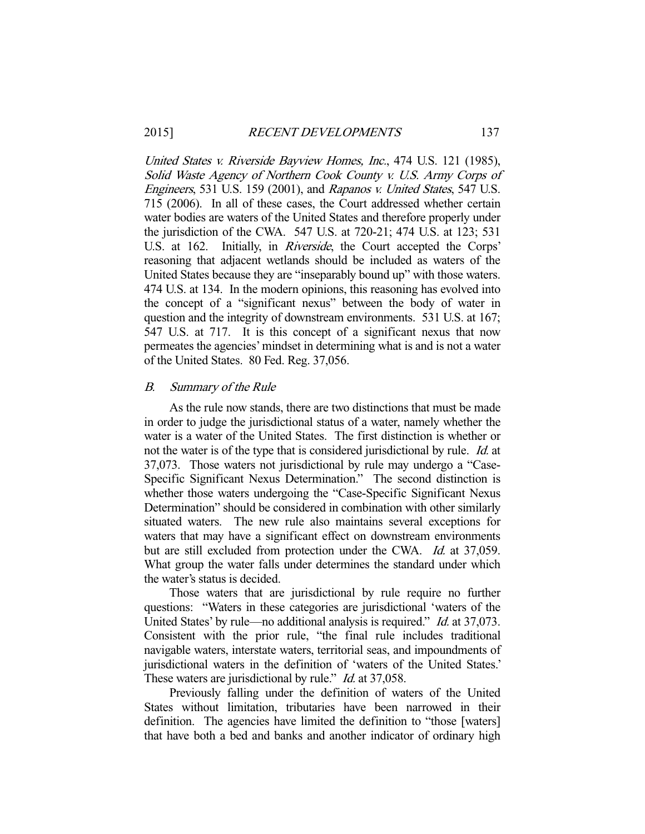United States v. Riverside Bayview Homes, Inc., 474 U.S. 121 (1985), Solid Waste Agency of Northern Cook County v. U.S. Army Corps of Engineers, 531 U.S. 159 (2001), and Rapanos v. United States, 547 U.S. 715 (2006). In all of these cases, the Court addressed whether certain water bodies are waters of the United States and therefore properly under the jurisdiction of the CWA. 547 U.S. at 720-21; 474 U.S. at 123; 531 U.S. at 162. Initially, in Riverside, the Court accepted the Corps' reasoning that adjacent wetlands should be included as waters of the United States because they are "inseparably bound up" with those waters. 474 U.S. at 134. In the modern opinions, this reasoning has evolved into the concept of a "significant nexus" between the body of water in question and the integrity of downstream environments. 531 U.S. at 167; 547 U.S. at 717. It is this concept of a significant nexus that now permeates the agencies' mindset in determining what is and is not a water of the United States. 80 Fed. Reg. 37,056.

### B. Summary of the Rule

 As the rule now stands, there are two distinctions that must be made in order to judge the jurisdictional status of a water, namely whether the water is a water of the United States. The first distinction is whether or not the water is of the type that is considered jurisdictional by rule. Id. at 37,073. Those waters not jurisdictional by rule may undergo a "Case-Specific Significant Nexus Determination." The second distinction is whether those waters undergoing the "Case-Specific Significant Nexus Determination" should be considered in combination with other similarly situated waters. The new rule also maintains several exceptions for waters that may have a significant effect on downstream environments but are still excluded from protection under the CWA. *Id.* at 37,059. What group the water falls under determines the standard under which the water's status is decided.

 Those waters that are jurisdictional by rule require no further questions: "Waters in these categories are jurisdictional 'waters of the United States' by rule—no additional analysis is required." *Id.* at 37,073. Consistent with the prior rule, "the final rule includes traditional navigable waters, interstate waters, territorial seas, and impoundments of jurisdictional waters in the definition of 'waters of the United States.' These waters are jurisdictional by rule." *Id.* at 37,058.

 Previously falling under the definition of waters of the United States without limitation, tributaries have been narrowed in their definition. The agencies have limited the definition to "those [waters] that have both a bed and banks and another indicator of ordinary high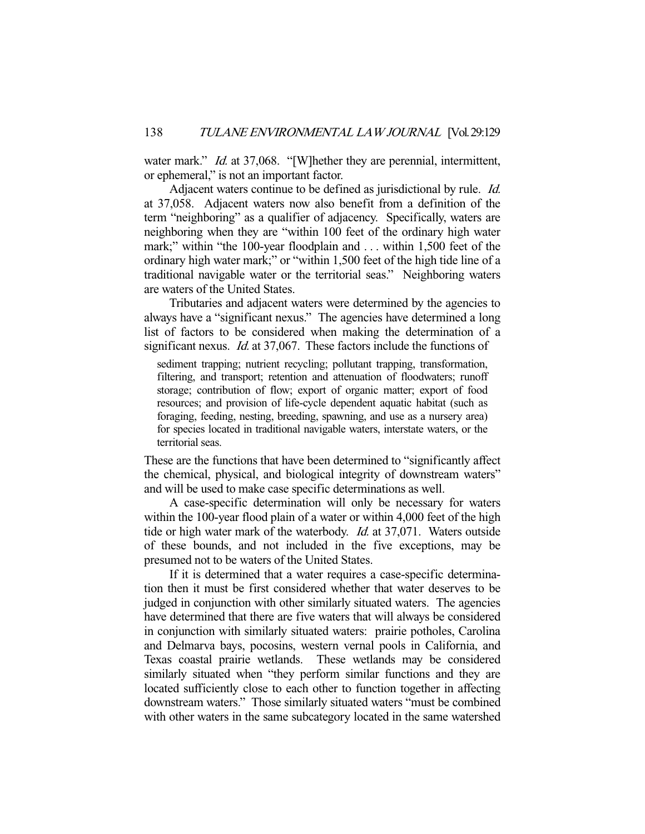water mark." *Id.* at 37,068. "[W]hether they are perennial, intermittent, or ephemeral," is not an important factor.

Adjacent waters continue to be defined as jurisdictional by rule. *Id.* at 37,058. Adjacent waters now also benefit from a definition of the term "neighboring" as a qualifier of adjacency. Specifically, waters are neighboring when they are "within 100 feet of the ordinary high water mark;" within "the 100-year floodplain and . . . within 1,500 feet of the ordinary high water mark;" or "within 1,500 feet of the high tide line of a traditional navigable water or the territorial seas." Neighboring waters are waters of the United States.

 Tributaries and adjacent waters were determined by the agencies to always have a "significant nexus." The agencies have determined a long list of factors to be considered when making the determination of a significant nexus. *Id.* at 37,067. These factors include the functions of

sediment trapping; nutrient recycling; pollutant trapping, transformation, filtering, and transport; retention and attenuation of floodwaters; runoff storage; contribution of flow; export of organic matter; export of food resources; and provision of life-cycle dependent aquatic habitat (such as foraging, feeding, nesting, breeding, spawning, and use as a nursery area) for species located in traditional navigable waters, interstate waters, or the territorial seas.

These are the functions that have been determined to "significantly affect the chemical, physical, and biological integrity of downstream waters" and will be used to make case specific determinations as well.

 A case-specific determination will only be necessary for waters within the 100-year flood plain of a water or within 4,000 feet of the high tide or high water mark of the waterbody. *Id.* at 37,071. Waters outside of these bounds, and not included in the five exceptions, may be presumed not to be waters of the United States.

 If it is determined that a water requires a case-specific determination then it must be first considered whether that water deserves to be judged in conjunction with other similarly situated waters. The agencies have determined that there are five waters that will always be considered in conjunction with similarly situated waters: prairie potholes, Carolina and Delmarva bays, pocosins, western vernal pools in California, and Texas coastal prairie wetlands. These wetlands may be considered similarly situated when "they perform similar functions and they are located sufficiently close to each other to function together in affecting downstream waters." Those similarly situated waters "must be combined with other waters in the same subcategory located in the same watershed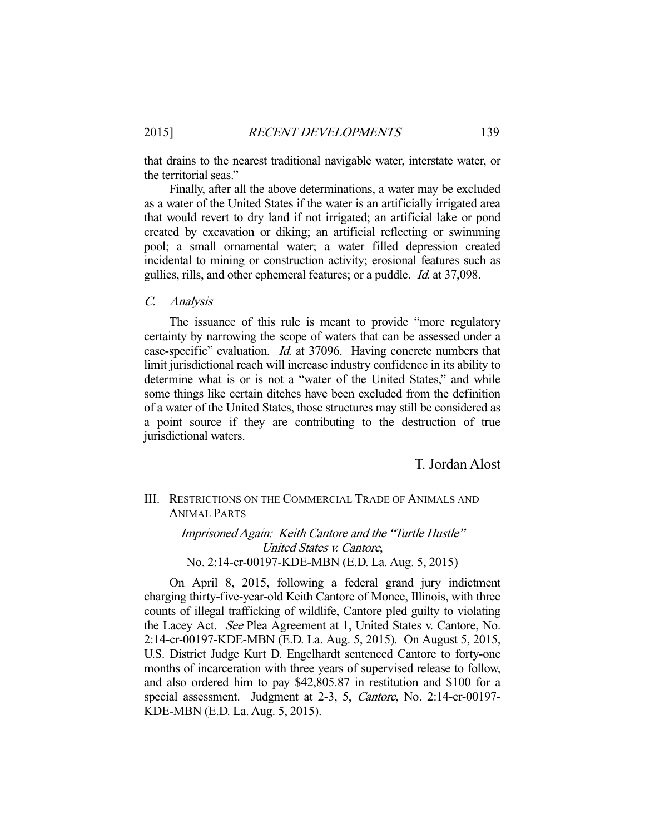that drains to the nearest traditional navigable water, interstate water, or the territorial seas."

 Finally, after all the above determinations, a water may be excluded as a water of the United States if the water is an artificially irrigated area that would revert to dry land if not irrigated; an artificial lake or pond created by excavation or diking; an artificial reflecting or swimming pool; a small ornamental water; a water filled depression created incidental to mining or construction activity; erosional features such as gullies, rills, and other ephemeral features; or a puddle. Id. at 37,098.

C. Analysis

 The issuance of this rule is meant to provide "more regulatory certainty by narrowing the scope of waters that can be assessed under a case-specific" evaluation. Id. at 37096. Having concrete numbers that limit jurisdictional reach will increase industry confidence in its ability to determine what is or is not a "water of the United States," and while some things like certain ditches have been excluded from the definition of a water of the United States, those structures may still be considered as a point source if they are contributing to the destruction of true jurisdictional waters.

T. Jordan Alost

# III. RESTRICTIONS ON THE COMMERCIAL TRADE OF ANIMALS AND ANIMAL PARTS

Imprisoned Again: Keith Cantore and the "Turtle Hustle" United States v. Cantore, No. 2:14-cr-00197-KDE-MBN (E.D. La. Aug. 5, 2015)

 On April 8, 2015, following a federal grand jury indictment charging thirty-five-year-old Keith Cantore of Monee, Illinois, with three counts of illegal trafficking of wildlife, Cantore pled guilty to violating the Lacey Act. See Plea Agreement at 1, United States v. Cantore, No. 2:14-cr-00197-KDE-MBN (E.D. La. Aug. 5, 2015). On August 5, 2015, U.S. District Judge Kurt D. Engelhardt sentenced Cantore to forty-one months of incarceration with three years of supervised release to follow, and also ordered him to pay \$42,805.87 in restitution and \$100 for a special assessment. Judgment at 2-3, 5, Cantore, No. 2:14-cr-00197- KDE-MBN (E.D. La. Aug. 5, 2015).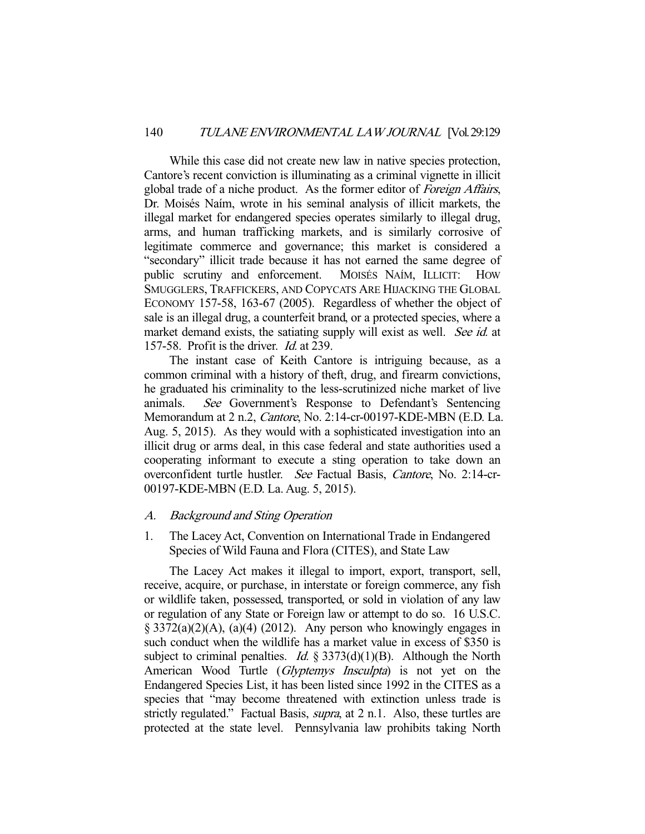While this case did not create new law in native species protection, Cantore's recent conviction is illuminating as a criminal vignette in illicit global trade of a niche product. As the former editor of Foreign Affairs, Dr. Moisés Naím, wrote in his seminal analysis of illicit markets, the illegal market for endangered species operates similarly to illegal drug, arms, and human trafficking markets, and is similarly corrosive of legitimate commerce and governance; this market is considered a "secondary" illicit trade because it has not earned the same degree of public scrutiny and enforcement. MOISÉS NAÍM, ILLICIT: HOW SMUGGLERS, TRAFFICKERS, AND COPYCATS ARE HIJACKING THE GLOBAL ECONOMY 157-58, 163-67 (2005). Regardless of whether the object of sale is an illegal drug, a counterfeit brand, or a protected species, where a market demand exists, the satiating supply will exist as well. See id. at 157-58. Profit is the driver. Id. at 239.

 The instant case of Keith Cantore is intriguing because, as a common criminal with a history of theft, drug, and firearm convictions, he graduated his criminality to the less-scrutinized niche market of live animals. See Government's Response to Defendant's Sentencing Memorandum at 2 n.2, Cantore, No. 2:14-cr-00197-KDE-MBN (E.D. La. Aug. 5, 2015). As they would with a sophisticated investigation into an illicit drug or arms deal, in this case federal and state authorities used a cooperating informant to execute a sting operation to take down an overconfident turtle hustler. See Factual Basis, Cantore, No. 2:14-cr-00197-KDE-MBN (E.D. La. Aug. 5, 2015).

# A. Background and Sting Operation

1. The Lacey Act, Convention on International Trade in Endangered Species of Wild Fauna and Flora (CITES), and State Law

 The Lacey Act makes it illegal to import, export, transport, sell, receive, acquire, or purchase, in interstate or foreign commerce, any fish or wildlife taken, possessed, transported, or sold in violation of any law or regulation of any State or Foreign law or attempt to do so. 16 U.S.C.  $\S$  3372(a)(2)(A), (a)(4) (2012). Any person who knowingly engages in such conduct when the wildlife has a market value in excess of \$350 is subject to criminal penalties. *Id.*  $\S 3373(d)(1)(B)$ . Although the North American Wood Turtle (Glyptemys Insculpta) is not yet on the Endangered Species List, it has been listed since 1992 in the CITES as a species that "may become threatened with extinction unless trade is strictly regulated." Factual Basis, *supra*, at 2 n.1. Also, these turtles are protected at the state level. Pennsylvania law prohibits taking North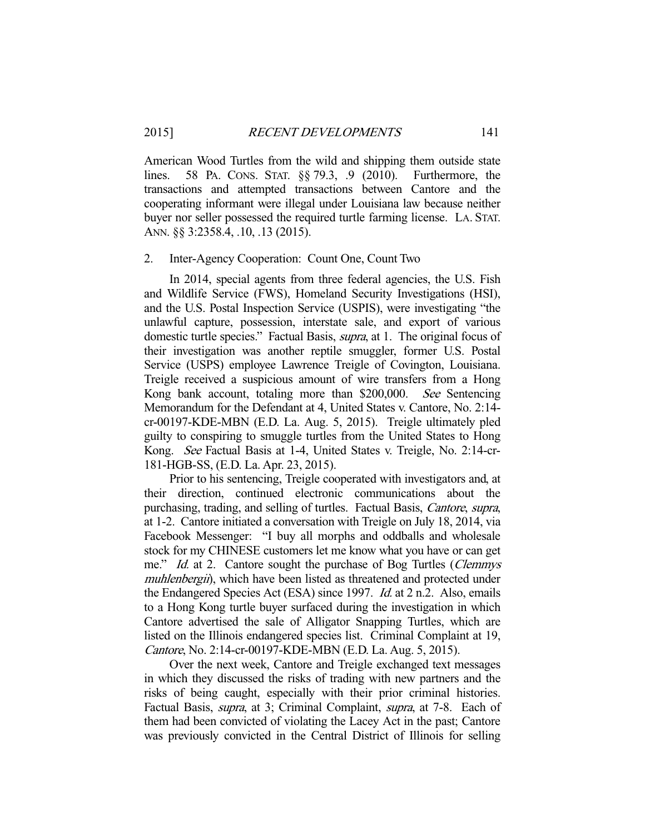American Wood Turtles from the wild and shipping them outside state lines. 58 PA. CONS. STAT. §§ 79.3, .9 (2010). Furthermore, the transactions and attempted transactions between Cantore and the cooperating informant were illegal under Louisiana law because neither buyer nor seller possessed the required turtle farming license. LA. STAT. ANN. §§ 3:2358.4, .10, .13 (2015).

#### 2. Inter-Agency Cooperation: Count One, Count Two

 In 2014, special agents from three federal agencies, the U.S. Fish and Wildlife Service (FWS), Homeland Security Investigations (HSI), and the U.S. Postal Inspection Service (USPIS), were investigating "the unlawful capture, possession, interstate sale, and export of various domestic turtle species." Factual Basis, *supra*, at 1. The original focus of their investigation was another reptile smuggler, former U.S. Postal Service (USPS) employee Lawrence Treigle of Covington, Louisiana. Treigle received a suspicious amount of wire transfers from a Hong Kong bank account, totaling more than \$200,000. See Sentencing Memorandum for the Defendant at 4, United States v. Cantore, No. 2:14 cr-00197-KDE-MBN (E.D. La. Aug. 5, 2015). Treigle ultimately pled guilty to conspiring to smuggle turtles from the United States to Hong Kong. See Factual Basis at 1-4, United States v. Treigle, No. 2:14-cr-181-HGB-SS, (E.D. La. Apr. 23, 2015).

 Prior to his sentencing, Treigle cooperated with investigators and, at their direction, continued electronic communications about the purchasing, trading, and selling of turtles. Factual Basis, Cantore, supra, at 1-2. Cantore initiated a conversation with Treigle on July 18, 2014, via Facebook Messenger: "I buy all morphs and oddballs and wholesale stock for my CHINESE customers let me know what you have or can get me." *Id.* at 2. Cantore sought the purchase of Bog Turtles (*Clemmys* muhlenbergii), which have been listed as threatened and protected under the Endangered Species Act (ESA) since 1997. Id. at 2 n.2. Also, emails to a Hong Kong turtle buyer surfaced during the investigation in which Cantore advertised the sale of Alligator Snapping Turtles, which are listed on the Illinois endangered species list. Criminal Complaint at 19, Cantore, No. 2:14-cr-00197-KDE-MBN (E.D. La. Aug. 5, 2015).

 Over the next week, Cantore and Treigle exchanged text messages in which they discussed the risks of trading with new partners and the risks of being caught, especially with their prior criminal histories. Factual Basis, supra, at 3; Criminal Complaint, supra, at 7-8. Each of them had been convicted of violating the Lacey Act in the past; Cantore was previously convicted in the Central District of Illinois for selling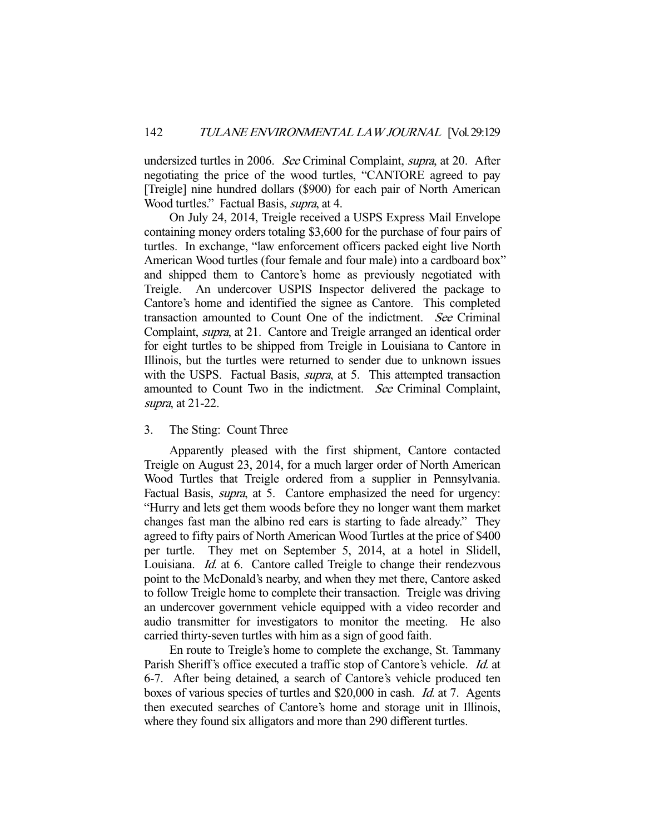undersized turtles in 2006. See Criminal Complaint, supra, at 20. After negotiating the price of the wood turtles, "CANTORE agreed to pay [Treigle] nine hundred dollars (\$900) for each pair of North American Wood turtles." Factual Basis, supra, at 4.

 On July 24, 2014, Treigle received a USPS Express Mail Envelope containing money orders totaling \$3,600 for the purchase of four pairs of turtles. In exchange, "law enforcement officers packed eight live North American Wood turtles (four female and four male) into a cardboard box" and shipped them to Cantore's home as previously negotiated with Treigle. An undercover USPIS Inspector delivered the package to Cantore's home and identified the signee as Cantore. This completed transaction amounted to Count One of the indictment. See Criminal Complaint, supra, at 21. Cantore and Treigle arranged an identical order for eight turtles to be shipped from Treigle in Louisiana to Cantore in Illinois, but the turtles were returned to sender due to unknown issues with the USPS. Factual Basis, *supra*, at 5. This attempted transaction amounted to Count Two in the indictment. See Criminal Complaint, supra, at 21-22.

# 3. The Sting: Count Three

 Apparently pleased with the first shipment, Cantore contacted Treigle on August 23, 2014, for a much larger order of North American Wood Turtles that Treigle ordered from a supplier in Pennsylvania. Factual Basis, *supra*, at 5. Cantore emphasized the need for urgency: "Hurry and lets get them woods before they no longer want them market changes fast man the albino red ears is starting to fade already." They agreed to fifty pairs of North American Wood Turtles at the price of \$400 per turtle. They met on September 5, 2014, at a hotel in Slidell, Louisiana. *Id.* at 6. Cantore called Treigle to change their rendezvous point to the McDonald's nearby, and when they met there, Cantore asked to follow Treigle home to complete their transaction. Treigle was driving an undercover government vehicle equipped with a video recorder and audio transmitter for investigators to monitor the meeting. He also carried thirty-seven turtles with him as a sign of good faith.

 En route to Treigle's home to complete the exchange, St. Tammany Parish Sheriff's office executed a traffic stop of Cantore's vehicle. *Id.* at 6-7. After being detained, a search of Cantore's vehicle produced ten boxes of various species of turtles and \$20,000 in cash. Id. at 7. Agents then executed searches of Cantore's home and storage unit in Illinois, where they found six alligators and more than 290 different turtles.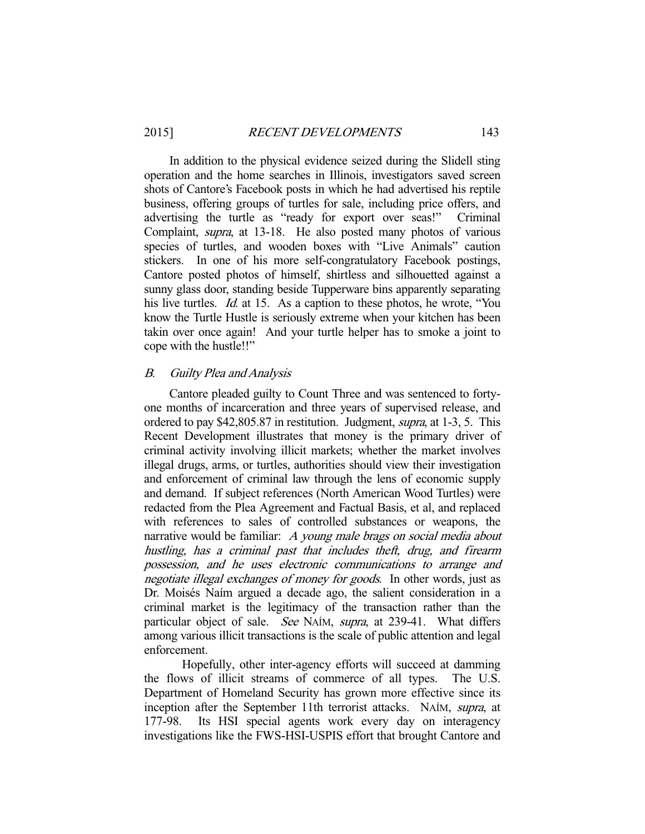In addition to the physical evidence seized during the Slidell sting operation and the home searches in Illinois, investigators saved screen shots of Cantore's Facebook posts in which he had advertised his reptile business, offering groups of turtles for sale, including price offers, and advertising the turtle as "ready for export over seas!" Criminal Complaint, supra, at 13-18. He also posted many photos of various species of turtles, and wooden boxes with "Live Animals" caution stickers. In one of his more self-congratulatory Facebook postings, Cantore posted photos of himself, shirtless and silhouetted against a sunny glass door, standing beside Tupperware bins apparently separating his live turtles. *Id.* at 15. As a caption to these photos, he wrote, "You know the Turtle Hustle is seriously extreme when your kitchen has been takin over once again! And your turtle helper has to smoke a joint to cope with the hustle!!"

### B. Guilty Plea and Analysis

 Cantore pleaded guilty to Count Three and was sentenced to fortyone months of incarceration and three years of supervised release, and ordered to pay \$42,805.87 in restitution. Judgment, supra, at 1-3, 5. This Recent Development illustrates that money is the primary driver of criminal activity involving illicit markets; whether the market involves illegal drugs, arms, or turtles, authorities should view their investigation and enforcement of criminal law through the lens of economic supply and demand. If subject references (North American Wood Turtles) were redacted from the Plea Agreement and Factual Basis, et al, and replaced with references to sales of controlled substances or weapons, the narrative would be familiar: A young male brags on social media about hustling, has a criminal past that includes theft, drug, and firearm possession, and he uses electronic communications to arrange and negotiate illegal exchanges of money for goods. In other words, just as Dr. Moisés Naím argued a decade ago, the salient consideration in a criminal market is the legitimacy of the transaction rather than the particular object of sale. See NAÍM, supra, at 239-41. What differs among various illicit transactions is the scale of public attention and legal enforcement.

 Hopefully, other inter-agency efforts will succeed at damming the flows of illicit streams of commerce of all types. The U.S. Department of Homeland Security has grown more effective since its inception after the September 11th terrorist attacks. NAÍM, supra, at 177-98. Its HSI special agents work every day on interagency investigations like the FWS-HSI-USPIS effort that brought Cantore and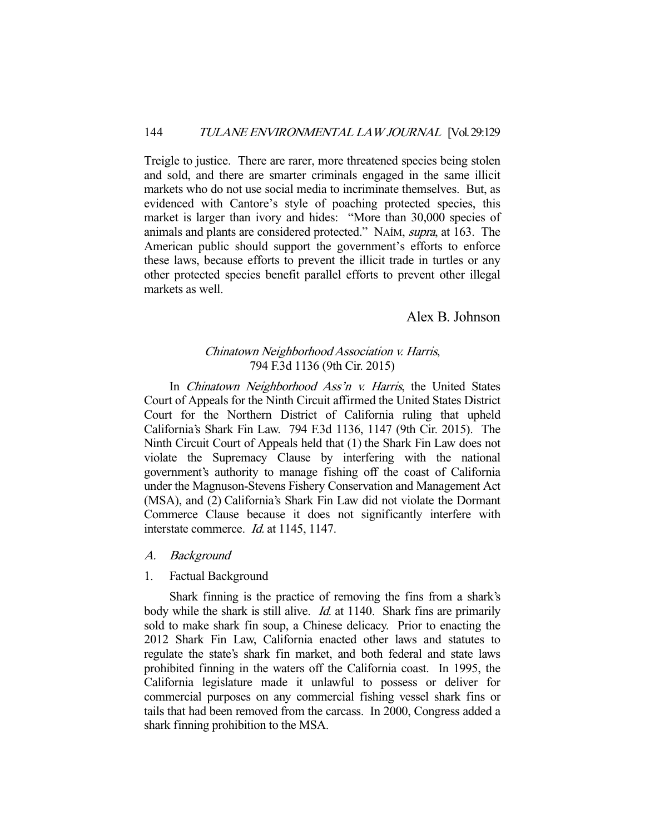Treigle to justice. There are rarer, more threatened species being stolen and sold, and there are smarter criminals engaged in the same illicit markets who do not use social media to incriminate themselves. But, as evidenced with Cantore's style of poaching protected species, this market is larger than ivory and hides: "More than 30,000 species of animals and plants are considered protected." NAÍM, supra, at 163. The American public should support the government's efforts to enforce these laws, because efforts to prevent the illicit trade in turtles or any other protected species benefit parallel efforts to prevent other illegal markets as well.

# Alex B. Johnson

# Chinatown Neighborhood Association v. Harris, 794 F.3d 1136 (9th Cir. 2015)

In *Chinatown Neighborhood Ass'n v. Harris*, the United States Court of Appeals for the Ninth Circuit affirmed the United States District Court for the Northern District of California ruling that upheld California's Shark Fin Law. 794 F.3d 1136, 1147 (9th Cir. 2015). The Ninth Circuit Court of Appeals held that (1) the Shark Fin Law does not violate the Supremacy Clause by interfering with the national government's authority to manage fishing off the coast of California under the Magnuson-Stevens Fishery Conservation and Management Act (MSA), and (2) California's Shark Fin Law did not violate the Dormant Commerce Clause because it does not significantly interfere with interstate commerce. *Id.* at 1145, 1147.

## A. Background

### 1. Factual Background

 Shark finning is the practice of removing the fins from a shark's body while the shark is still alive. *Id.* at 1140. Shark fins are primarily sold to make shark fin soup, a Chinese delicacy. Prior to enacting the 2012 Shark Fin Law, California enacted other laws and statutes to regulate the state's shark fin market, and both federal and state laws prohibited finning in the waters off the California coast. In 1995, the California legislature made it unlawful to possess or deliver for commercial purposes on any commercial fishing vessel shark fins or tails that had been removed from the carcass. In 2000, Congress added a shark finning prohibition to the MSA.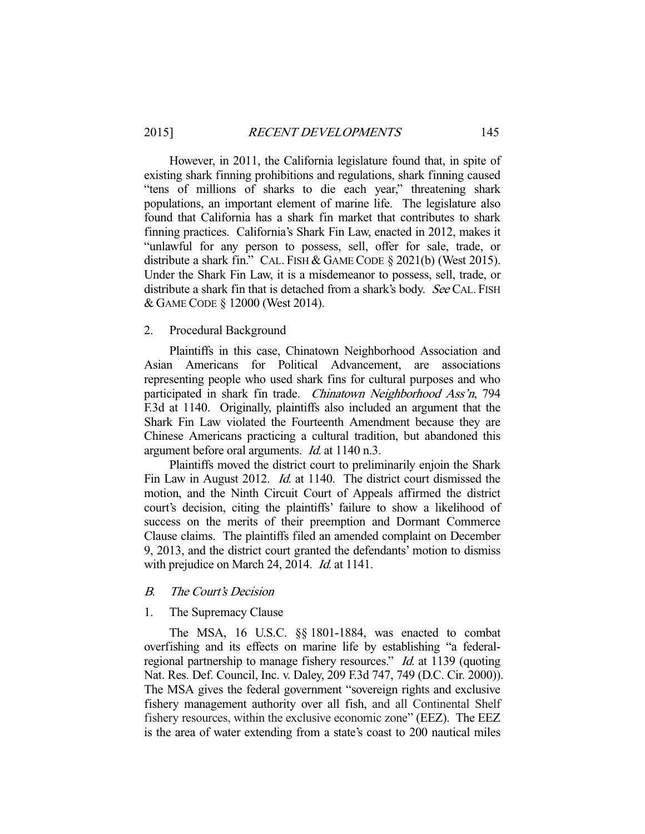However, in 2011, the California legislature found that, in spite of existing shark finning prohibitions and regulations, shark finning caused "tens of millions of sharks to die each year," threatening shark populations, an important element of marine life. The legislature also found that California has a shark fin market that contributes to shark finning practices. California's Shark Fin Law, enacted in 2012, makes it "unlawful for any person to possess, sell, offer for sale, trade, or distribute a shark fin." CAL. FISH & GAME CODE § 2021(b) (West 2015). Under the Shark Fin Law, it is a misdemeanor to possess, sell, trade, or distribute a shark fin that is detached from a shark's body. See CAL. FISH & GAME CODE § 12000 (West 2014).

### 2. Procedural Background

 Plaintiffs in this case, Chinatown Neighborhood Association and Asian Americans for Political Advancement, are associations representing people who used shark fins for cultural purposes and who participated in shark fin trade. Chinatown Neighborhood Ass'n, 794 F.3d at 1140. Originally, plaintiffs also included an argument that the Shark Fin Law violated the Fourteenth Amendment because they are Chinese Americans practicing a cultural tradition, but abandoned this argument before oral arguments. Id. at 1140 n.3.

 Plaintiffs moved the district court to preliminarily enjoin the Shark Fin Law in August 2012. *Id.* at 1140. The district court dismissed the motion, and the Ninth Circuit Court of Appeals affirmed the district court's decision, citing the plaintiffs' failure to show a likelihood of success on the merits of their preemption and Dormant Commerce Clause claims. The plaintiffs filed an amended complaint on December 9, 2013, and the district court granted the defendants' motion to dismiss with prejudice on March 24, 2014. *Id.* at 1141.

#### B. The Court's Decision

### 1. The Supremacy Clause

 The MSA, 16 U.S.C. §§ 1801-1884, was enacted to combat overfishing and its effects on marine life by establishing "a federalregional partnership to manage fishery resources." Id. at 1139 (quoting Nat. Res. Def. Council, Inc. v. Daley, 209 F.3d 747, 749 (D.C. Cir. 2000)). The MSA gives the federal government "sovereign rights and exclusive fishery management authority over all fish, and all Continental Shelf fishery resources, within the exclusive economic zone" (EEZ). The EEZ is the area of water extending from a state's coast to 200 nautical miles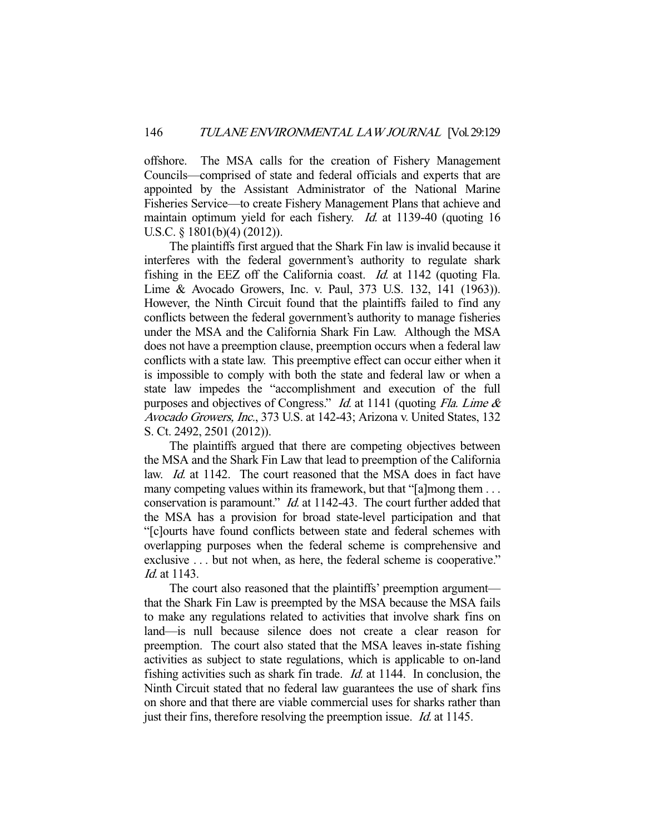offshore. The MSA calls for the creation of Fishery Management Councils—comprised of state and federal officials and experts that are appointed by the Assistant Administrator of the National Marine Fisheries Service—to create Fishery Management Plans that achieve and maintain optimum yield for each fishery. *Id.* at 1139-40 (quoting 16 U.S.C. § 1801(b)(4) (2012)).

 The plaintiffs first argued that the Shark Fin law is invalid because it interferes with the federal government's authority to regulate shark fishing in the EEZ off the California coast. Id. at 1142 (quoting Fla. Lime & Avocado Growers, Inc. v. Paul, 373 U.S. 132, 141 (1963)). However, the Ninth Circuit found that the plaintiffs failed to find any conflicts between the federal government's authority to manage fisheries under the MSA and the California Shark Fin Law. Although the MSA does not have a preemption clause, preemption occurs when a federal law conflicts with a state law. This preemptive effect can occur either when it is impossible to comply with both the state and federal law or when a state law impedes the "accomplishment and execution of the full purposes and objectives of Congress." Id. at 1141 (quoting Fla. Lime & Avocado Growers, Inc., 373 U.S. at 142-43; Arizona v. United States, 132 S. Ct. 2492, 2501 (2012)).

 The plaintiffs argued that there are competing objectives between the MSA and the Shark Fin Law that lead to preemption of the California law. *Id.* at 1142. The court reasoned that the MSA does in fact have many competing values within its framework, but that "[a]mong them . . . conservation is paramount." Id. at 1142-43. The court further added that the MSA has a provision for broad state-level participation and that "[c]ourts have found conflicts between state and federal schemes with overlapping purposes when the federal scheme is comprehensive and exclusive . . . but not when, as here, the federal scheme is cooperative." Id. at 1143.

 The court also reasoned that the plaintiffs' preemption argument that the Shark Fin Law is preempted by the MSA because the MSA fails to make any regulations related to activities that involve shark fins on land—is null because silence does not create a clear reason for preemption. The court also stated that the MSA leaves in-state fishing activities as subject to state regulations, which is applicable to on-land fishing activities such as shark fin trade. Id. at 1144. In conclusion, the Ninth Circuit stated that no federal law guarantees the use of shark fins on shore and that there are viable commercial uses for sharks rather than just their fins, therefore resolving the preemption issue. *Id.* at 1145.